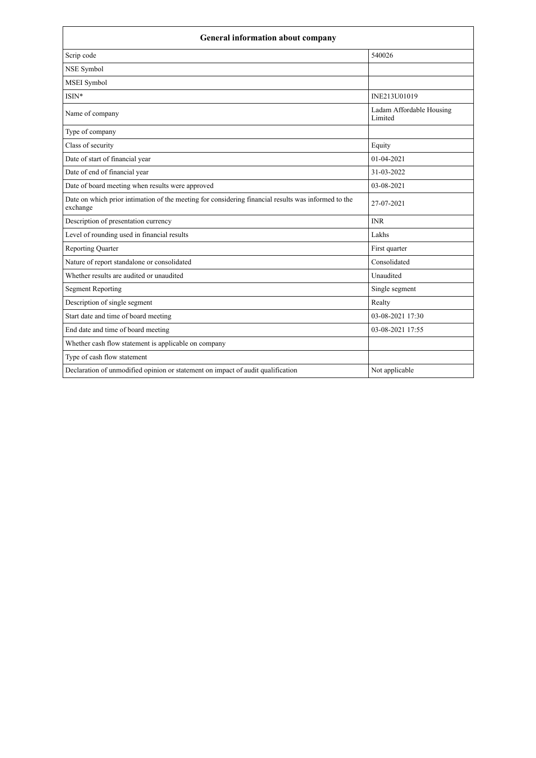| <b>General information about company</b>                                                                        |                                     |  |
|-----------------------------------------------------------------------------------------------------------------|-------------------------------------|--|
| Scrip code                                                                                                      | 540026                              |  |
| NSE Symbol                                                                                                      |                                     |  |
| <b>MSEI</b> Symbol                                                                                              |                                     |  |
| ISIN*                                                                                                           | INE213U01019                        |  |
| Name of company                                                                                                 | Ladam Affordable Housing<br>Limited |  |
| Type of company                                                                                                 |                                     |  |
| Class of security                                                                                               | Equity                              |  |
| Date of start of financial year                                                                                 | 01-04-2021                          |  |
| Date of end of financial year                                                                                   | 31-03-2022                          |  |
| Date of board meeting when results were approved                                                                | 03-08-2021                          |  |
| Date on which prior intimation of the meeting for considering financial results was informed to the<br>exchange | 27-07-2021                          |  |
| Description of presentation currency                                                                            | <b>INR</b>                          |  |
| Level of rounding used in financial results                                                                     | Lakhs                               |  |
| <b>Reporting Quarter</b>                                                                                        | First quarter                       |  |
| Nature of report standalone or consolidated                                                                     | Consolidated                        |  |
| Whether results are audited or unaudited                                                                        | Unaudited                           |  |
| <b>Segment Reporting</b>                                                                                        | Single segment                      |  |
| Description of single segment                                                                                   | Realty                              |  |
| Start date and time of board meeting                                                                            | 03-08-2021 17:30                    |  |
| End date and time of board meeting                                                                              | 03-08-2021 17:55                    |  |
| Whether cash flow statement is applicable on company                                                            |                                     |  |
| Type of cash flow statement                                                                                     |                                     |  |
| Declaration of unmodified opinion or statement on impact of audit qualification                                 | Not applicable                      |  |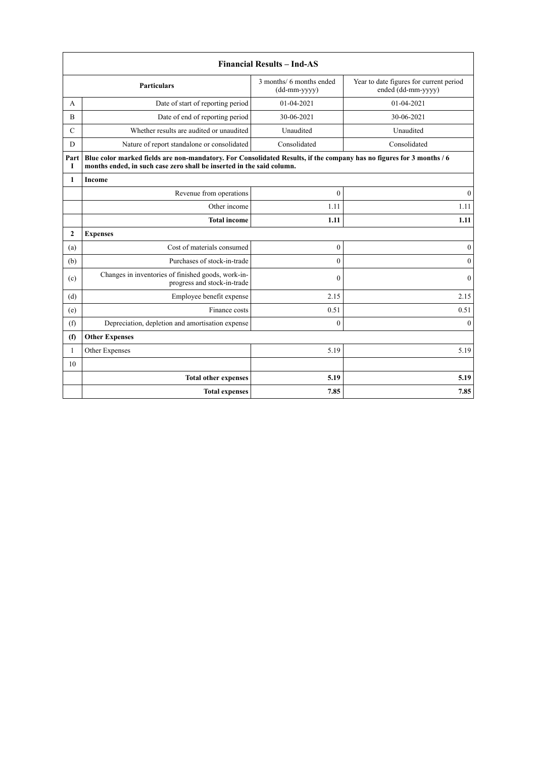| <b>Financial Results - Ind-AS</b> |                                                                                                                                                                                               |                                          |                                                               |  |
|-----------------------------------|-----------------------------------------------------------------------------------------------------------------------------------------------------------------------------------------------|------------------------------------------|---------------------------------------------------------------|--|
|                                   | <b>Particulars</b>                                                                                                                                                                            | 3 months/ 6 months ended<br>(dd-mm-yyyy) | Year to date figures for current period<br>ended (dd-mm-yyyy) |  |
| A                                 | Date of start of reporting period                                                                                                                                                             | 01-04-2021                               | 01-04-2021                                                    |  |
| B                                 | Date of end of reporting period                                                                                                                                                               | 30-06-2021                               | 30-06-2021                                                    |  |
| $\mathcal{C}$                     | Whether results are audited or unaudited                                                                                                                                                      | Unaudited                                | Unaudited                                                     |  |
| D                                 | Nature of report standalone or consolidated                                                                                                                                                   | Consolidated                             | Consolidated                                                  |  |
| Part<br>T                         | Blue color marked fields are non-mandatory. For Consolidated Results, if the company has no figures for 3 months / 6<br>months ended, in such case zero shall be inserted in the said column. |                                          |                                                               |  |
| $\mathbf{1}$                      | Income                                                                                                                                                                                        |                                          |                                                               |  |
|                                   | Revenue from operations                                                                                                                                                                       | $\mathbf{0}$                             | $\mathbf{0}$                                                  |  |
|                                   | Other income                                                                                                                                                                                  | 1.11                                     | 1.11                                                          |  |
|                                   | <b>Total income</b>                                                                                                                                                                           | 1.11                                     | 1.11                                                          |  |
| $\mathbf{2}$                      | <b>Expenses</b>                                                                                                                                                                               |                                          |                                                               |  |
| (a)                               | Cost of materials consumed                                                                                                                                                                    | $\mathbf{0}$                             | $\mathbf{0}$                                                  |  |
| (b)                               | Purchases of stock-in-trade                                                                                                                                                                   | $\mathbf{0}$                             | $\mathbf{0}$                                                  |  |
| (c)                               | Changes in inventories of finished goods, work-in-<br>progress and stock-in-trade                                                                                                             | $\theta$                                 | $\theta$                                                      |  |
| (d)                               | Employee benefit expense                                                                                                                                                                      | 2.15                                     | 2.15                                                          |  |
| (e)                               | Finance costs                                                                                                                                                                                 | 0.51                                     | 0.51                                                          |  |
| (f)                               | Depreciation, depletion and amortisation expense                                                                                                                                              | $\mathbf{0}$                             | $\mathbf{0}$                                                  |  |
| (f)                               | <b>Other Expenses</b>                                                                                                                                                                         |                                          |                                                               |  |
| $\mathbf{1}$                      | Other Expenses                                                                                                                                                                                | 5.19                                     | 5.19                                                          |  |
| 10                                |                                                                                                                                                                                               |                                          |                                                               |  |
|                                   | <b>Total other expenses</b>                                                                                                                                                                   | 5.19                                     | 5.19                                                          |  |
|                                   | <b>Total expenses</b>                                                                                                                                                                         | 7.85                                     | 7.85                                                          |  |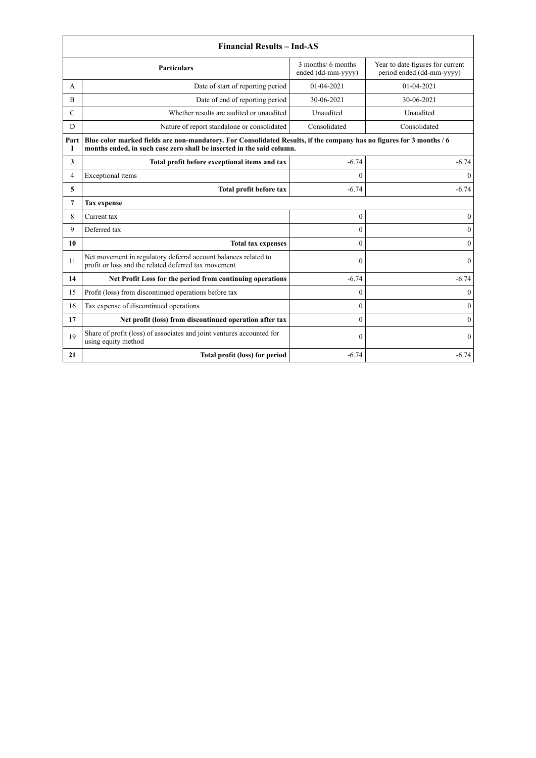|                | <b>Financial Results - Ind-AS</b>                                                                                                                                                             |                                          |                                                               |  |
|----------------|-----------------------------------------------------------------------------------------------------------------------------------------------------------------------------------------------|------------------------------------------|---------------------------------------------------------------|--|
|                | <b>Particulars</b>                                                                                                                                                                            | 3 months/ 6 months<br>ended (dd-mm-yyyy) | Year to date figures for current<br>period ended (dd-mm-yyyy) |  |
| A              | Date of start of reporting period                                                                                                                                                             | 01-04-2021                               | 01-04-2021                                                    |  |
| B              | Date of end of reporting period                                                                                                                                                               | 30-06-2021                               | 30-06-2021                                                    |  |
| $\mathcal{C}$  | Whether results are audited or unaudited                                                                                                                                                      | Unaudited                                | Unaudited                                                     |  |
| D              | Nature of report standalone or consolidated                                                                                                                                                   | Consolidated                             | Consolidated                                                  |  |
| Part<br>1      | Blue color marked fields are non-mandatory. For Consolidated Results, if the company has no figures for 3 months / 6<br>months ended, in such case zero shall be inserted in the said column. |                                          |                                                               |  |
| 3              | Total profit before exceptional items and tax                                                                                                                                                 | $-6.74$                                  | $-6.74$                                                       |  |
| $\overline{4}$ | Exceptional items                                                                                                                                                                             | $\theta$                                 | $\theta$                                                      |  |
| 5              | Total profit before tax                                                                                                                                                                       | $-6.74$                                  | $-6.74$                                                       |  |
| 7              | <b>Tax expense</b>                                                                                                                                                                            |                                          |                                                               |  |
| 8              | Current tax                                                                                                                                                                                   | $\boldsymbol{0}$                         | $\boldsymbol{0}$                                              |  |
| 9              | Deferred tax                                                                                                                                                                                  | $\mathbf{0}$                             | $\boldsymbol{0}$                                              |  |
| 10             | <b>Total tax expenses</b>                                                                                                                                                                     | $\theta$                                 | $\overline{0}$                                                |  |
| 11             | Net movement in regulatory deferral account balances related to<br>profit or loss and the related deferred tax movement                                                                       | $\mathbf{0}$                             | $\theta$                                                      |  |
| 14             | Net Profit Loss for the period from continuing operations                                                                                                                                     | $-6.74$                                  | $-6.74$                                                       |  |
| 15             | Profit (loss) from discontinued operations before tax                                                                                                                                         | $\theta$                                 | $\theta$                                                      |  |
| 16             | Tax expense of discontinued operations                                                                                                                                                        | $\theta$                                 | $\theta$                                                      |  |
| 17             | Net profit (loss) from discontinued operation after tax                                                                                                                                       | $\theta$                                 | $\Omega$                                                      |  |
| 19             | Share of profit (loss) of associates and joint ventures accounted for<br>using equity method                                                                                                  | $\boldsymbol{0}$                         | $\theta$                                                      |  |
| 21             | Total profit (loss) for period                                                                                                                                                                | $-6.74$                                  | $-6.74$                                                       |  |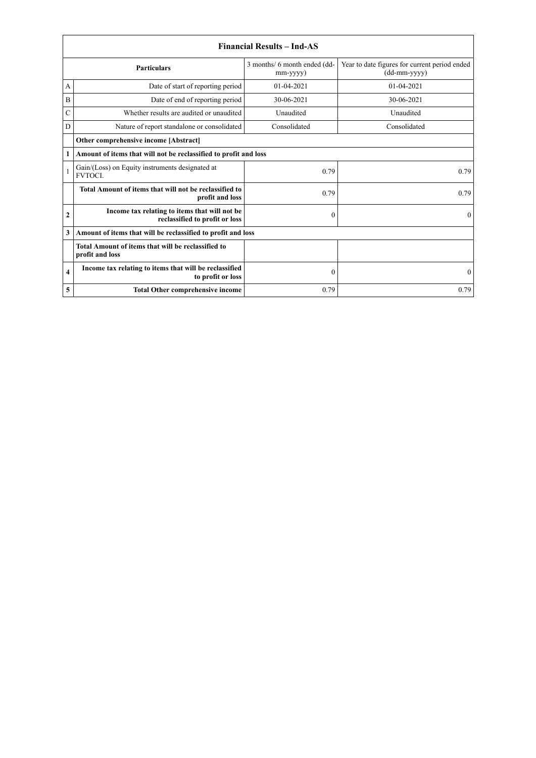|                    | <b>Financial Results - Ind-AS</b>                                               |                                                |                                                                 |  |
|--------------------|---------------------------------------------------------------------------------|------------------------------------------------|-----------------------------------------------------------------|--|
| <b>Particulars</b> |                                                                                 | 3 months/ 6 month ended (dd-<br>$mm$ -yyyy $)$ | Year to date figures for current period ended<br>$(dd-mm-yyyy)$ |  |
| A                  | Date of start of reporting period                                               | $01-04-2021$                                   | $01 - 04 - 2021$                                                |  |
| $\bf{B}$           | Date of end of reporting period                                                 | 30-06-2021                                     | 30-06-2021                                                      |  |
| C                  | Whether results are audited or unaudited                                        | Unaudited                                      | Unaudited                                                       |  |
| D                  | Nature of report standalone or consolidated                                     | Consolidated                                   | Consolidated                                                    |  |
|                    | Other comprehensive income [Abstract]                                           |                                                |                                                                 |  |
| 1                  | Amount of items that will not be reclassified to profit and loss                |                                                |                                                                 |  |
|                    | Gain/(Loss) on Equity instruments designated at<br><b>FVTOCL</b>                | 0.79                                           | 0.79                                                            |  |
|                    | Total Amount of items that will not be reclassified to<br>profit and loss       | 0.79                                           | 0.79                                                            |  |
| $\mathbf{2}$       | Income tax relating to items that will not be<br>reclassified to profit or loss | $\theta$                                       | $\theta$                                                        |  |
| 3                  | Amount of items that will be reclassified to profit and loss                    |                                                |                                                                 |  |
|                    | Total Amount of items that will be reclassified to<br>profit and loss           |                                                |                                                                 |  |
| 4                  | Income tax relating to items that will be reclassified<br>to profit or loss     | $\mathbf{0}$                                   | $\theta$                                                        |  |
| 5                  | <b>Total Other comprehensive income</b>                                         | 0.79                                           | 0.79                                                            |  |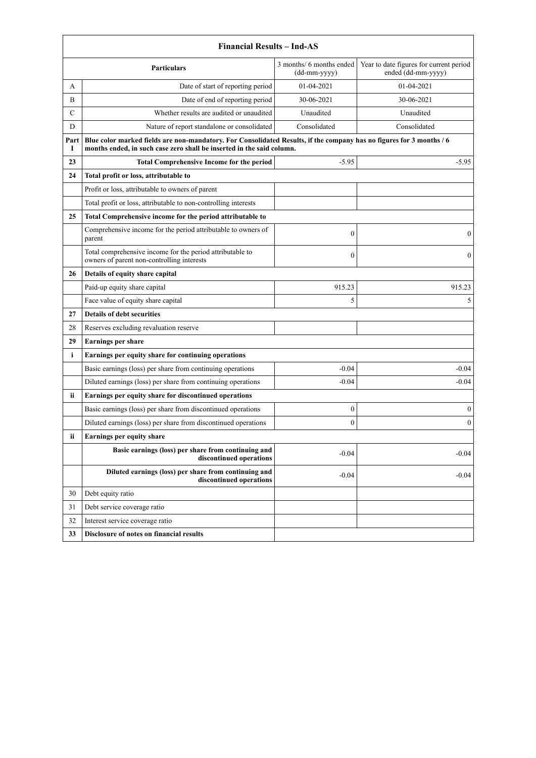|           | <b>Financial Results - Ind-AS</b>                                                                                                                                                             |                                            |                                                               |  |
|-----------|-----------------------------------------------------------------------------------------------------------------------------------------------------------------------------------------------|--------------------------------------------|---------------------------------------------------------------|--|
|           | <b>Particulars</b>                                                                                                                                                                            | 3 months/ 6 months ended<br>$(dd-mm-yyyy)$ | Year to date figures for current period<br>ended (dd-mm-yyyy) |  |
| A         | Date of start of reporting period                                                                                                                                                             | 01-04-2021                                 | 01-04-2021                                                    |  |
| B         | Date of end of reporting period                                                                                                                                                               | 30-06-2021                                 | 30-06-2021                                                    |  |
| С         | Whether results are audited or unaudited                                                                                                                                                      | Unaudited                                  | Unaudited                                                     |  |
| D         | Nature of report standalone or consolidated                                                                                                                                                   | Consolidated                               | Consolidated                                                  |  |
| Part<br>1 | Blue color marked fields are non-mandatory. For Consolidated Results, if the company has no figures for 3 months / 6<br>months ended, in such case zero shall be inserted in the said column. |                                            |                                                               |  |
| 23        | <b>Total Comprehensive Income for the period</b>                                                                                                                                              | $-5.95$                                    | $-5.95$                                                       |  |
| 24        | Total profit or loss, attributable to                                                                                                                                                         |                                            |                                                               |  |
|           | Profit or loss, attributable to owners of parent                                                                                                                                              |                                            |                                                               |  |
|           | Total profit or loss, attributable to non-controlling interests                                                                                                                               |                                            |                                                               |  |
| 25        | Total Comprehensive income for the period attributable to                                                                                                                                     |                                            |                                                               |  |
|           | Comprehensive income for the period attributable to owners of<br>parent                                                                                                                       | $\boldsymbol{0}$                           | $\mathbf{0}$                                                  |  |
|           | Total comprehensive income for the period attributable to<br>owners of parent non-controlling interests                                                                                       | $\boldsymbol{0}$                           | $\mathbf{0}$                                                  |  |
| 26        | Details of equity share capital                                                                                                                                                               |                                            |                                                               |  |
|           | Paid-up equity share capital                                                                                                                                                                  | 915.23                                     | 915.23                                                        |  |
|           | Face value of equity share capital                                                                                                                                                            | 5                                          | 5                                                             |  |
| 27        | <b>Details of debt securities</b>                                                                                                                                                             |                                            |                                                               |  |
| 28        | Reserves excluding revaluation reserve                                                                                                                                                        |                                            |                                                               |  |
| 29        | <b>Earnings per share</b>                                                                                                                                                                     |                                            |                                                               |  |
| i         | Earnings per equity share for continuing operations                                                                                                                                           |                                            |                                                               |  |
|           | Basic earnings (loss) per share from continuing operations                                                                                                                                    | $-0.04$                                    | $-0.04$                                                       |  |
|           | Diluted earnings (loss) per share from continuing operations                                                                                                                                  | $-0.04$                                    | $-0.04$                                                       |  |
| ii.       | Earnings per equity share for discontinued operations                                                                                                                                         |                                            |                                                               |  |
|           | Basic earnings (loss) per share from discontinued operations                                                                                                                                  | $\boldsymbol{0}$                           | $\boldsymbol{0}$                                              |  |
|           | Diluted earnings (loss) per share from discontinued operations                                                                                                                                | $\mathbf{0}$                               | $\mathbf{0}$                                                  |  |
| ii        | Earnings per equity share                                                                                                                                                                     |                                            |                                                               |  |
|           | Basic earnings (loss) per share from continuing and<br>discontinued operations                                                                                                                | $-0.04$                                    | $-0.04$                                                       |  |
|           | Diluted earnings (loss) per share from continuing and<br>discontinued operations                                                                                                              | $-0.04$                                    | $-0.04$                                                       |  |
| 30        | Debt equity ratio                                                                                                                                                                             |                                            |                                                               |  |
| 31        | Debt service coverage ratio                                                                                                                                                                   |                                            |                                                               |  |
| 32        | Interest service coverage ratio                                                                                                                                                               |                                            |                                                               |  |
| 33        | Disclosure of notes on financial results                                                                                                                                                      |                                            |                                                               |  |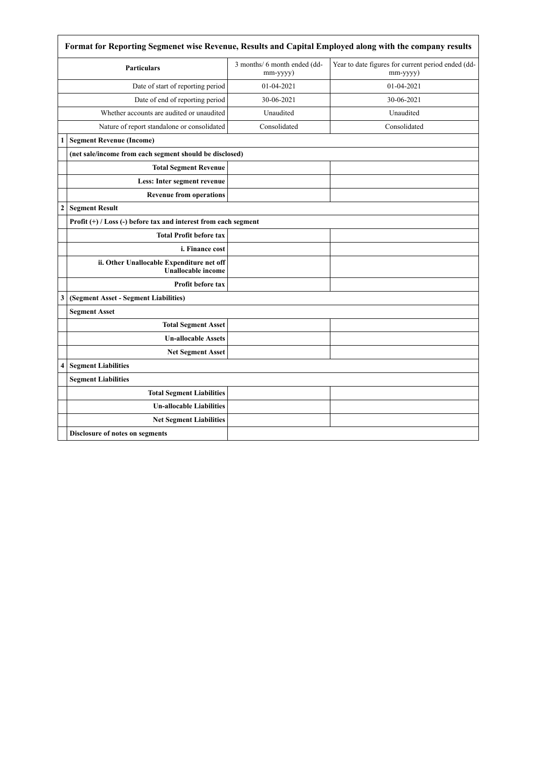|                  | Format for Reporting Segmenet wise Revenue, Results and Capital Employed along with the company results |                                          |                                                                |  |
|------------------|---------------------------------------------------------------------------------------------------------|------------------------------------------|----------------------------------------------------------------|--|
|                  | <b>Particulars</b>                                                                                      | 3 months/ 6 month ended (dd-<br>mm-yyyy) | Year to date figures for current period ended (dd-<br>mm-yyyy) |  |
|                  | Date of start of reporting period                                                                       | 01-04-2021                               | 01-04-2021                                                     |  |
|                  | Date of end of reporting period                                                                         | 30-06-2021                               | 30-06-2021                                                     |  |
|                  | Whether accounts are audited or unaudited                                                               | Unaudited                                | Unaudited                                                      |  |
|                  | Nature of report standalone or consolidated                                                             | Consolidated                             | Consolidated                                                   |  |
| 1                | <b>Segment Revenue (Income)</b>                                                                         |                                          |                                                                |  |
|                  | (net sale/income from each segment should be disclosed)                                                 |                                          |                                                                |  |
|                  | <b>Total Segment Revenue</b>                                                                            |                                          |                                                                |  |
|                  | Less: Inter segment revenue                                                                             |                                          |                                                                |  |
|                  | <b>Revenue from operations</b>                                                                          |                                          |                                                                |  |
| $\boldsymbol{2}$ | <b>Segment Result</b>                                                                                   |                                          |                                                                |  |
|                  | Profit $(+)$ / Loss $(-)$ before tax and interest from each segment                                     |                                          |                                                                |  |
|                  | <b>Total Profit before tax</b>                                                                          |                                          |                                                                |  |
|                  | i. Finance cost                                                                                         |                                          |                                                                |  |
|                  | ii. Other Unallocable Expenditure net off<br><b>Unallocable income</b>                                  |                                          |                                                                |  |
|                  | <b>Profit before tax</b>                                                                                |                                          |                                                                |  |
| 3                | (Segment Asset - Segment Liabilities)                                                                   |                                          |                                                                |  |
|                  | <b>Segment Asset</b>                                                                                    |                                          |                                                                |  |
|                  | <b>Total Segment Asset</b>                                                                              |                                          |                                                                |  |
|                  | <b>Un-allocable Assets</b>                                                                              |                                          |                                                                |  |
|                  | <b>Net Segment Asset</b>                                                                                |                                          |                                                                |  |
| 4                | <b>Segment Liabilities</b>                                                                              |                                          |                                                                |  |
|                  | <b>Segment Liabilities</b>                                                                              |                                          |                                                                |  |
|                  | <b>Total Segment Liabilities</b>                                                                        |                                          |                                                                |  |
|                  | <b>Un-allocable Liabilities</b>                                                                         |                                          |                                                                |  |
|                  | <b>Net Segment Liabilities</b>                                                                          |                                          |                                                                |  |
|                  | Disclosure of notes on segments                                                                         |                                          |                                                                |  |